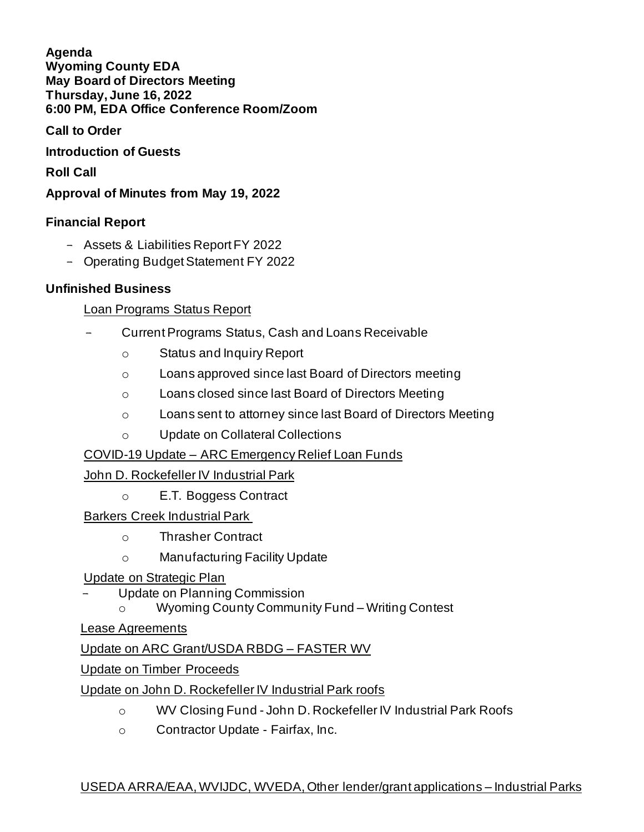**Agenda Wyoming County EDA May Board of Directors Meeting Thursday, June 16, 2022 6:00 PM, EDA Office Conference Room/Zoom**

**Call to Order**

**Introduction of Guests**

**Roll Call**

**Approval of Minutes from May 19, 2022**

# **Financial Report**

- Assets & Liabilities Report FY 2022
- Operating Budget Statement FY 2022

### **Unfinished Business**

Loan Programs Status Report

- Current Programs Status, Cash and Loans Receivable
	- o Status and Inquiry Report
	- o Loans approved since last Board of Directors meeting
	- o Loans closed since last Board of Directors Meeting
	- o Loans sent to attorney since last Board of Directors Meeting
	- o Update on Collateral Collections

# COVID-19 Update – ARC Emergency Relief Loan Funds

# John D. Rockefeller IV Industrial Park

o E.T. Boggess Contract

Barkers Creek Industrial Park

- o Thrasher Contract
- o Manufacturing Facility Update

### Update on Strategic Plan

- Update on Planning Commission
	- o Wyoming County Community Fund Writing Contest

Lease Agreements

Update on ARC Grant/USDA RBDG – FASTER WV

Update on Timber Proceeds

Update on John D. Rockefeller IV Industrial Park roofs

- o WV Closing Fund John D. Rockefeller IV Industrial Park Roofs
- o Contractor Update Fairfax, Inc.